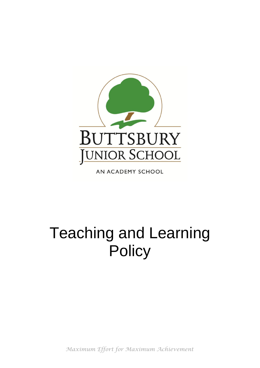

AN ACADEMY SCHOOL

# Teaching and Learning **Policy**

*Maximum Effort for Maximum Achievement*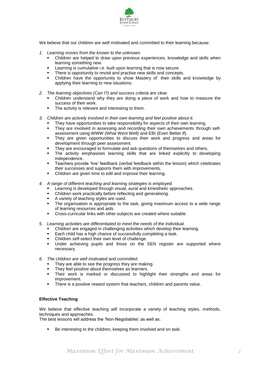

We believe that our children are well motivated and committed to their learning because:

- *1. Learning moves from the known to the unknown.*
	- Children are helped to draw upon previous experiences, knowledge and skills when learning something new.
	- Learning is cumulative i.e. built upon learning that is now secure.
	- **There is opportunity to revisit and practise new skills and concepts.**
	- Children have the opportunity to show Mastery of` their skills and knowledge by applying their learning to new situations.
- *2. The learning objectives (Can I?) and success criteria are clear.*
	- Children understand why they are doing a piece of work and how to measure the success of their work.
	- The activity is relevant and interesting to them.
- *3. Children are actively involved in their own learning and feel positive about it.*
	- They have opportunities to take responsibility for aspects of their own learning.<br>They are involved in assessing and recording their own achievements through
	- They are involved in assessing and recording their own achievements through selfassessment using WWW (What Went Well) and EBI (Even Better If).
	- They are given opportunities to discuss their work and progress and areas for development through peer assessment.
	- They are encouraged to formulate and ask questions of themselves and others.
	- The activity emphasises learning skills that are linked explicitly to developing independence.
	- Teachers provide 'live' feedback (verbal feedback within the lesson) which celebrates their successes and supports them with improvements.
	- Children are given time to edit and improve their learning.
- *4. A range of different teaching and learning strategies is employed.*
	- Learning is developed through visual, aural and kinesthetic approaches.
	- Children work practically before reflecting and generalising.
	- A variety of teaching styles are used.
	- The organisation is appropriate to the task, giving maximum access to a wide range of learning resources and aids.
	- Cross-curricular links with other subjects are created where suitable.
- *5. Learning activities are differentiated to meet the needs of the individual.*
	- Children are engaged in challenging activities which develop their learning.
	- Each child has a high chance of successfully completing a task.
	- Children self-select their own level of challenge.
	- Under achieving pupils and those on the SEN register are supported where necessary.
- *6. The children are well motivated and committed.*
	- They are able to see the progress they are making.
	- They feel positive about themselves as learners.
	- Their work is marked or discussed to highlight their strengths and areas for improvement.
	- There is a positive reward system that teachers, children and parents value.

# **Effective Teaching**

We believe that effective teaching will incorporate a variety of teaching styles, methods, techniques and approaches.

The best lessons will address the 'Non-Negotiables' as well as:

Be interesting to the children, keeping them involved and on task.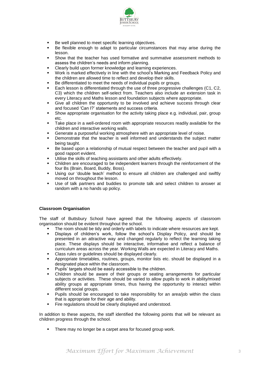

- Be well planned to meet specific learning objectives.
- Be flexible enough to adapt to particular circumstances that may arise during the lesson.
- Show that the teacher has used formative and summative assessment methods to assess the children's needs and inform planning.
- Clearly build upon former knowledge and learning experiences.
- Work is marked effectively in line with the school's Marking and Feedback Policy and the children are allowed time to reflect and develop their skills.
- Be differentiated to meet the needs of individual pupils or groups.
- Each lesson is differentiated through the use of three progressive challenges (C1, C2, C3) which the children self-select from. Teachers also include an extension task in every Literacy and Maths lesson and foundation subjects where appropriate.
- Give all children the opportunity to be involved and achieve success through clear and focused 'Can I?' statements and success criteria.
- Show appropriate organisation for the activity taking place e.g. individual, pair, group etc.
- Take place in a well-ordered room with appropriate resources readily available for the children and interactive working walls.
- Generate a purposeful working atmosphere with an appropriate level of noise.
- Demonstrate that the teacher is well informed and understands the subject matter being taught.
- Be based upon a relationship of mutual respect between the teacher and pupil with a good rapport evident.
- Utilise the skills of teaching assistants and other adults effectively.
- Children are encouraged to be independent learners through the reinforcement of the four Bs (Brain, Board, Buddy, Boss).
- Using our 'double teach' method to ensure all children are challenged and swiftly moved on throughout the lesson.
- Use of talk partners and buddies to promote talk and select children to answer at random with a no hands up policy.

## **Classroom Organisation**

The staff of Buttsbury School have agreed that the following aspects of classroom organisation should be evident throughout the school.

- The room should be tidy and orderly with labels to indicate where resources are kept.
- Displays of children's work, follow the school's Display Policy, and should be presented in an attractive way and changed regularly to reflect the learning taking place. These displays should be interactive, informative and reflect a balance of curriculum areas across the year. Working Walls are expected in Literacy and Maths.
- Class rules or guidelines should be displayed clearly.
- Appropriate timetables, routines, groups, monitor lists etc. should be displayed in a designated place within the classroom.
- Pupils' targets should be easily accessible to the children.
- Children should be aware of their groups or seating arrangements for particular subjects or activities. These should be varied to allow pupils to work in ability/mixed ability groups at appropriate times, thus having the opportunity to interact within different social groups.
- Pupils should be encouraged to take responsibility for an area/job within the class that is appropriate for their age and ability.
- Fire regulations should be clearly displayed and understood.

In addition to these aspects, the staff identified the following points that will be relevant as children progress through the school.

**There may no longer be a carpet area for focused group work.**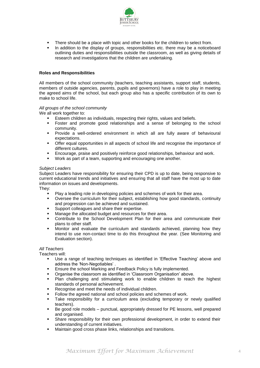

- There should be a place with topic and other books for the children to select from.
- In addition to the display of groups, responsibilities etc. there may be a noticeboard outlining duties and responsibilities outside the classroom, as well as giving details of research and investigations that the children are undertaking.

# **Roles and Responsibilities**

All members of the school community (teachers, teaching assistants, support staff, students, members of outside agencies, parents, pupils and governors) have a role to play in meeting the agreed aims of the school, but each group also has a specific contribution of its own to make to school life.

# *All groups of the school community*

We all work together to:

- Esteem children as individuals, respecting their rights, values and beliefs.
- Foster and promote good relationships and a sense of belonging to the school community.
- Provide a well-ordered environment in which all are fully aware of behavioural expectations.
- Offer equal opportunities in all aspects of school life and recognise the importance of different cultures.
- Encourage, praise and positively reinforce good relationships, behaviour and work.
- Work as part of a team, supporting and encouraging one another.

## *Subject Leaders*

Subject Leaders have responsibility for ensuring their CPD is up to date, being responsive to current educational trends and initiatives and ensuring that all staff have the most up to date information on issues and developments.

They:

- Play a leading role in developing policies and schemes of work for their area.
- Oversee the curriculum for their subject, establishing how good standards, continuity and progression can be achieved and sustained.
- Support colleagues and share their expertise.
- Manage the allocated budget and resources for their area.
- Contribute to the School Development Plan for their area and communicate their plans to other staff.
- Monitor and evaluate the curriculum and standards achieved, planning how they intend to use non-contact time to do this throughout the year. (See Monitoring and Evaluation section).

# *All Teachers*

Teachers will:

- Use a range of teaching techniques as identified in 'Effective Teaching' above and address the 'Non-Negotiables' .
- Ensure the school Marking and Feedback Policy is fully implemented.
- Organise the classroom as identified in 'Classroom Organisation' above.
- Plan challenging and stimulating work to enable children to reach the highest standards of personal achievement.
- Recognise and meet the needs of individual children.
- Follow the agreed national and school policies and schemes of work.
- Take responsibility for a curriculum area (excluding temporary or newly qualified teachers).
- Be good role models punctual, appropriately dressed for PE lessons, well prepared and organised.
- Share responsibility for their own professional development, in order to extend their understanding of current initiatives.
- Maintain good cross phase links, relationships and transitions.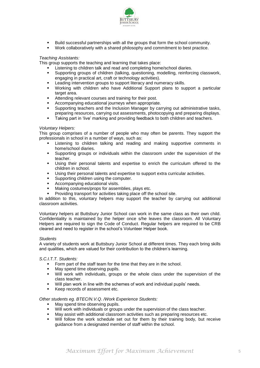

- Build successful partnerships with all the groups that form the school community.
- Work collaboratively with a shared philosophy and commitment to best practice.

# *Teaching Assistants:*

This group supports the teaching and learning that takes place:

- Listening to children talk and read and completing home/school diaries.
- Supporting groups of children (talking, questioning, modelling, reinforcing classwork, engaging in practical art, craft or technology activities).
- Leading intervention groups to support literacy and numeracy skills.
- Working with children who have Additional Support plans to support a particular target area.
- Attending relevant courses and training for their post.
- Accompanying educational journeys when appropriate.
- Supporting teachers and the Inclusion Manager by carrying out administrative tasks, preparing resources, carrying out assessments, photocopying and preparing displays.
- Taking part in 'live' marking and providing feedback to both children and teachers.

# *Voluntary Helpers:*

This group comprises of a number of people who may often be parents. They support the professionals in school in a number of ways, such as:

- Listening to children talking and reading and making supportive comments in home/school diaries.
- Supporting groups or individuals within the classroom under the supervision of the teacher.
- Using their personal talents and expertise to enrich the curriculum offered to the children in school.
- Using their personal talents and expertise to support extra curricular activities.
- Supporting children using the computer.
- Accompanying educational visits.
- Making costumes/props for assemblies, plays etc.
- Providing transport for activities taking place off the school site.

In addition to this, voluntary helpers may support the teacher by carrying out additional classroom activities.

Voluntary helpers at Buttsbury Junior School can work in the same class as their own child. Confidentiality is maintained by the helper once s/he leaves the classroom. All Voluntary Helpers are required to sign the Code of Conduct. Regular helpers are required to be CRB cleared and need to register in the school's Volunteer Helper book.

## *Students*

A variety of students work at Buttsbury Junior School at different times. They each bring skills and qualities, which are valued for their contribution to the children's learning.

*S.C.I.T.T. Students:*

- Form part of the staff team for the time that they are in the school.
- May spend time observing pupils.
- Will work with individuals, groups or the whole class under the supervision of the class teacher.
- Will plan work in line with the schemes of work and individual pupils' needs.
- Keep records of assessment etc.

*Other students eg. BTEC/N.V.Q. /Work Experience Students:*

- May spend time observing pupils.
- Will work with individuals or groups under the supervision of the class teacher.
- May assist with additional classroom activities such as preparing resources etc.
- Will follow the work schedule set out for them by their training body, but receive guidance from a designated member of staff within the school.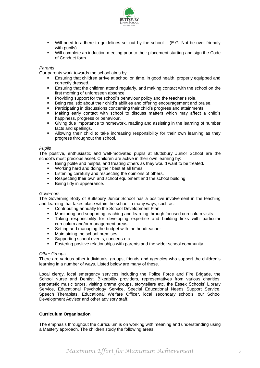

- Will need to adhere to guidelines set out by the school. (E.G. Not be over friendly with pupils)
- Will complete an induction meeting prior to their placement starting and sign the Code of Conduct form.

#### *Parents*

Our parents work towards the school aims by:

- Ensuring that children arrive at school on time, in good health, properly equipped and correctly dressed.
- **Ensuring that the children attend regularly, and making contact with the school on the** first morning of unforeseen absence.
- Providing support for the school's behaviour policy and the teacher's role.
- Being realistic about their child's abilities and offering encouragement and praise.
- Participating in discussions concerning their child's progress and attainments.
- Making early contact with school to discuss matters which may affect a child's happiness, progress or behaviour.
- Giving due importance to homework, reading and assisting in the learning of number facts and spellings.
- Allowing their child to take increasing responsibility for their own learning as they progress throughout the school.

#### *Pupils*

The positive, enthusiastic and well-motivated pupils at Buttsbury Junior School are the school's most precious asset. Children are active in their own learning by:

- Being polite and helpful, and treating others as they would want to be treated.
- Working hard and doing their best at all times.
- Listening carefully and respecting the opinions of others.
- Respecting their own and school equipment and the school building.
- **Being tidy in appearance.**

#### *Governors*

The Governing Body of Buttsbury Junior School has a positive involvement in the teaching and learning that takes place within the school in many ways, such as:

- Contributing annually to the School Development Plan.
- Monitoring and supporting teaching and learning through focused curriculum visits.
- Taking responsibility for developing expertise and building links with particular curriculum and/or management areas.
- Setting and managing the budget with the headteacher.
- Maintaining the school premises.
- Supporting school events, concerts etc.
- Fostering positive relationships with parents and the wider school community.

#### *Other Groups*

There are various other individuals, groups, friends and agencies who support the children's learning in a number of ways. Listed below are many of these.

Local clergy, local emergency services including the Police Force and Fire Brigade, the School Nurse and Dentist, Bikeability providers, representatives from various charities, peripatetic music tutors, visiting drama groups, storytellers etc. the Essex Schools' Library Service, Educational Psychology Service, Special Educational Needs Support Service, Speech Therapists, Educational Welfare Officer, local secondary schools, our School Development Advisor and other advisory staff.

## **Curriculum Organisation**

The emphasis throughout the curriculum is on working with meaning and understanding using a Mastery approach. The children study the following areas: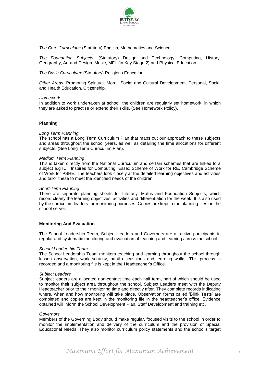

*The Core Curriculum:* (Statutory) English, Mathematics and Science.

*The Foundation Subjects:* (Statutory) Design and Technology, Computing, History, Geography, Art and Design, Music, MFL (in Key Stage 2) and Physical Education.

*The Basic Curriculum:* (Statutory) Religious Education.

*Other Areas:* Promoting Spiritual, Moral, Social and Cultural Development, Personal, Social and Health Education, Citizenship.

## *Homework*

In addition to work undertaken at school, the children are regularly set homework, in which they are asked to practise or extend their skills. (See Homework Policy).

# **Planning**

## *Long Term Planning*

The school has a Long Term Curriculum Plan that maps out our approach to these subjects and areas throughout the school years, as well as detailing the time allocations for different subjects. (See Long Term Curriculum Plan).

## *Medium Term Planning*

This is taken directly from the National Curriculum and certain schemes that are linked to a subject e.g ICT Inspires for Computing, Essex Scheme of Work for RE, Cambridge Scheme of Work for PSHE. The teachers look closely at the detailed learning objectives and activities and tailor these to meet the identified needs of the children.

## *Short Term Planning*

There are separate planning sheets for Literacy, Maths and Foundation Subjects, which record clearly the learning objectives, activities and differentiation for the week. It is also used by the curriculum leaders for monitoring purposes. Copies are kept in the planning files on the school server.

## **Monitoring And Evaluation**

The School Leadership Team, Subject Leaders and Governors are all active participants in regular and systematic monitoring and evaluation of teaching and learning across the school.

## *School Leadership Team*

The School Leadership Team monitors teaching and learning throughout the school through lesson observation, work scrutiny, pupil discussions and learning walks. This process is recorded and a monitoring file is kept in the Headteacher's Office.

#### *Subject Leaders*

Subject leaders are allocated non-contact time each half term, part of which should be used to monitor their subject area throughout the school. Subject Leaders meet with the Deputy Headteacher prior to their monitoring time and directly after. They complete records indicating where, when and how monitoring will take place. Observation forms called 'Blink Tests' are completed and copies are kept in the monitoring file in the headteacher's office. Evidence obtained will inform the School Development Plan, Staff Development and training etc.

## *Governors*

Members of the Governing Body should make regular, focused visits to the school in order to monitor the implementation and delivery of the curriculum and the provision of Special Educational Needs. They also monitor curriculum policy statements and the school's target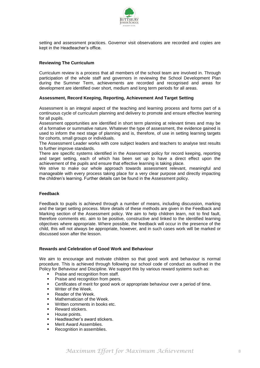

setting and assessment practices. Governor visit observations are recorded and copies are kept in the Headteacher's office.

# **Reviewing The Curriculum**

Curriculum review is a process that all members of the school team are involved in. Through participation of the whole staff and governors in reviewing the School Development Plan during the Summer Term, achievements are recorded and recognised and areas for development are identified over short, medium and long term periods for all areas.

# **Assessment, Record Keeping, Reporting, Achievement And Target Setting**

Assessment is an integral aspect of the teaching and learning process and forms part of a continuous cycle of curriculum planning and delivery to promote and ensure effective learning for all pupils.

Assessment opportunities are identified in short term planning at relevant times and may be of a formative or summative nature. Whatever the type of assessment, the evidence gained is used to inform the next stage of planning and is, therefore, of use in setting learning targets for cohorts, small groups or individuals.

The Assessment Leader works with core subject leaders and teachers to analyse test results to further improve standards.

There are specific systems identified in the Assessment policy for record keeping, reporting and target setting, each of which has been set up to have a direct effect upon the achievement of the pupils and ensure that effective learning is taking place.

We strive to make our whole approach towards assessment relevant, meaningful and manageable with every process taking place for a very clear purpose and directly impacting the children's learning. Further details can be found in the Assessment policy.

## **Feedback**

Feedback to pupils is achieved through a number of means, including discussion, marking and the target setting process. More details of these methods are given in the Feedback and Marking section of the Assessment policy. We aim to help children learn, not to find fault, therefore comments etc. aim to be positive, constructive and linked to the identified learning objectives where appropriate. Where possible, the feedback will occur in the presence of the child, this will not always be appropriate, however, and in such cases work will be marked or discussed soon after the lesson.

## **Rewards and Celebration of Good Work and Behaviour**

We aim to encourage and motivate children so that good work and behaviour is normal procedure. This is achieved through following our school code of conduct as outlined in the Policy for Behaviour and Discipline. We support this by various reward systems such as:

- **Praise and recognition from staff.**
- Praise and recognition from peers.
- Certificates of merit for good work or appropriate behaviour over a period of time.
- Writer of the Week.
- Reader of the Week.
- Mathematician of the Week.
- Written comments in books etc.
- Reward stickers.
- House points.
- Headteacher's award stickers.
- Merit Award Assemblies.
- **Recognition in assemblies.**